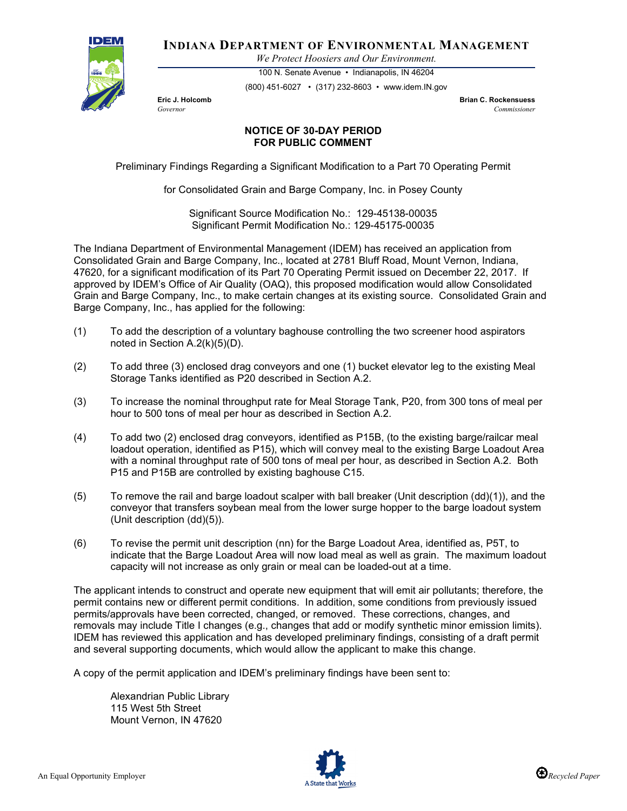

**INDIANA DEPARTMENT OF ENVIRONMENTAL MANAGEMENT**

*We Protect Hoosiers and Our Environment.*

100 N. Senate Avenue • Indianapolis, IN 46204 (800) 451-6027 • (317) 232-8603 • www.idem.IN.gov

**Eric J. Holcomb Brian C. Rockensuess** *Governor Commissioner* 

## **NOTICE OF 30-DAY PERIOD FOR PUBLIC COMMENT**

Preliminary Findings Regarding a Significant Modification to a Part 70 Operating Permit

for Consolidated Grain and Barge Company, Inc. in Posey County

Significant Source Modification No.: 129-45138-00035 Significant Permit Modification No.: 129-45175-00035

The Indiana Department of Environmental Management (IDEM) has received an application from Consolidated Grain and Barge Company, Inc., located at 2781 Bluff Road, Mount Vernon, Indiana, 47620, for a significant modification of its Part 70 Operating Permit issued on December 22, 2017. If approved by IDEM's Office of Air Quality (OAQ), this proposed modification would allow Consolidated Grain and Barge Company, Inc., to make certain changes at its existing source. Consolidated Grain and Barge Company, Inc., has applied for the following:

- (1) To add the description of a voluntary baghouse controlling the two screener hood aspirators noted in Section A.2(k)(5)(D).
- (2) To add three (3) enclosed drag conveyors and one (1) bucket elevator leg to the existing Meal Storage Tanks identified as P20 described in Section A.2.
- (3) To increase the nominal throughput rate for Meal Storage Tank, P20, from 300 tons of meal per hour to 500 tons of meal per hour as described in Section A.2.
- (4) To add two (2) enclosed drag conveyors, identified as P15B, (to the existing barge/railcar meal loadout operation, identified as P15), which will convey meal to the existing Barge Loadout Area with a nominal throughput rate of 500 tons of meal per hour, as described in Section A.2. Both P15 and P15B are controlled by existing baghouse C15.
- (5) To remove the rail and barge loadout scalper with ball breaker (Unit description (dd)(1)), and the conveyor that transfers soybean meal from the lower surge hopper to the barge loadout system (Unit description (dd)(5)).
- (6) To revise the permit unit description (nn) for the Barge Loadout Area, identified as, P5T, to indicate that the Barge Loadout Area will now load meal as well as grain. The maximum loadout capacity will not increase as only grain or meal can be loaded-out at a time.

The applicant intends to construct and operate new equipment that will emit air pollutants; therefore, the permit contains new or different permit conditions. In addition, some conditions from previously issued permits/approvals have been corrected, changed, or removed. These corrections, changes, and removals may include Title I changes (e.g., changes that add or modify synthetic minor emission limits). IDEM has reviewed this application and has developed preliminary findings, consisting of a draft permit and several supporting documents, which would allow the applicant to make this change.

A copy of the permit application and IDEM's preliminary findings have been sent to:

Alexandrian Public Library 115 West 5th Street Mount Vernon, IN 47620



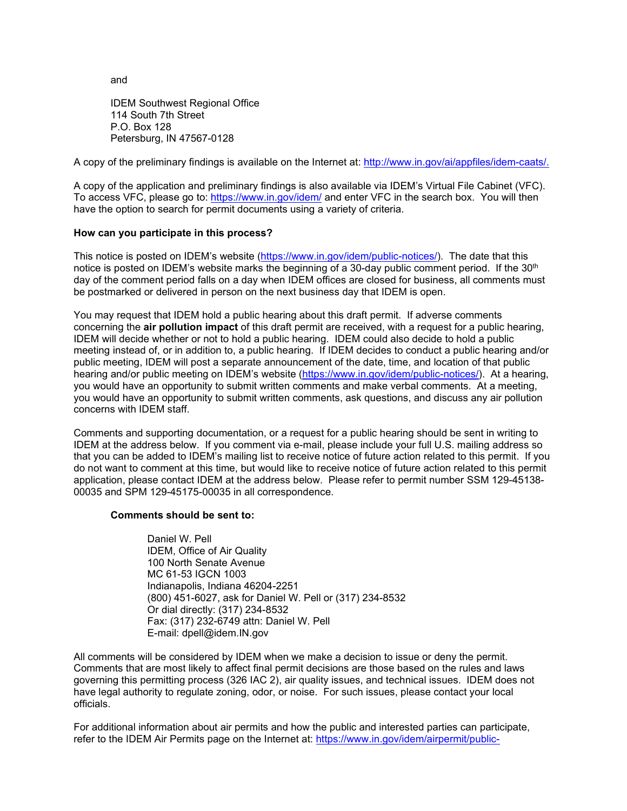and

IDEM Southwest Regional Office 114 South 7th Street P.O. Box 128 Petersburg, IN 47567-0128

A copy of the preliminary findings is available on the Internet at: [http://www.in.gov/ai/appfiles/idem-caats/.](http://www.in.gov/ai/appfiles/idem-caats/)

A copy of the application and preliminary findings is also available via IDEM's Virtual File Cabinet (VFC). To access VFC, please go to:<https://www.in.gov/idem/> and enter VFC in the search box. You will then have the option to search for permit documents using a variety of criteria.

## **How can you participate in this process?**

This notice is posted on IDEM's website [\(https://www.in.gov/idem/public-notices/\)](https://www.in.gov/idem/public-notices/). The date that this notice is posted on IDEM's website marks the beginning of a 30-day public comment period. If the  $30<sup>th</sup>$ day of the comment period falls on a day when IDEM offices are closed for business, all comments must be postmarked or delivered in person on the next business day that IDEM is open.

You may request that IDEM hold a public hearing about this draft permit. If adverse comments concerning the **air pollution impact** of this draft permit are received, with a request for a public hearing, IDEM will decide whether or not to hold a public hearing. IDEM could also decide to hold a public meeting instead of, or in addition to, a public hearing. If IDEM decides to conduct a public hearing and/or public meeting, IDEM will post a separate announcement of the date, time, and location of that public hearing and/or public meeting on IDEM's website [\(https://www.in.gov/idem/public-notices/\)](https://www.in.gov/idem/public-notices/). At a hearing, you would have an opportunity to submit written comments and make verbal comments. At a meeting, you would have an opportunity to submit written comments, ask questions, and discuss any air pollution concerns with IDEM staff.

Comments and supporting documentation, or a request for a public hearing should be sent in writing to IDEM at the address below. If you comment via e-mail, please include your full U.S. mailing address so that you can be added to IDEM's mailing list to receive notice of future action related to this permit. If you do not want to comment at this time, but would like to receive notice of future action related to this permit application, please contact IDEM at the address below. Please refer to permit number SSM 129-45138- 00035 and SPM 129-45175-00035 in all correspondence.

## **Comments should be sent to:**

Daniel W. Pell IDEM, Office of Air Quality 100 North Senate Avenue MC 61-53 IGCN 1003 Indianapolis, Indiana 46204-2251 (800) 451-6027, ask for Daniel W. Pell or (317) 234-8532 Or dial directly: (317) 234-8532 Fax: (317) 232-6749 attn: Daniel W. Pell E-mail: dpell@idem.IN.gov

All comments will be considered by IDEM when we make a decision to issue or deny the permit. Comments that are most likely to affect final permit decisions are those based on the rules and laws governing this permitting process (326 IAC 2), air quality issues, and technical issues. IDEM does not have legal authority to regulate zoning, odor, or noise. For such issues, please contact your local officials.

For additional information about air permits and how the public and interested parties can participate, refer to the IDEM Air Permits page on the Internet at: [https://www.in.gov/idem/airpermit/public-](https://www.in.gov/idem/airpermit/public-participation/)